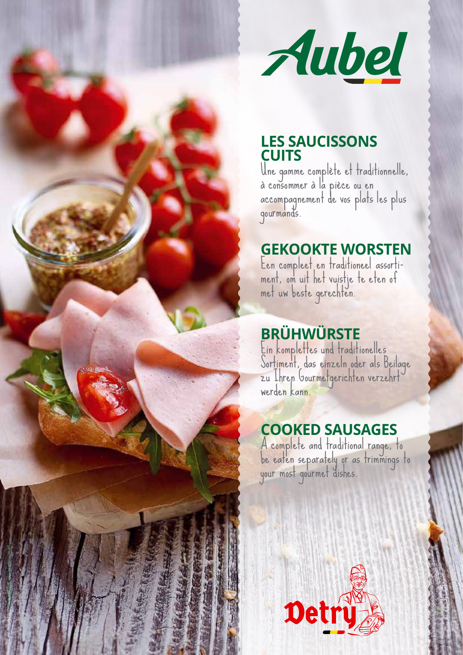

#### **LES SAUCISSONS CUITS**

Une gamme complète et traditionnelle, à consommer à la pièce ou en accompagnement de vos plats les plus gourmands.

# **GEKOOKTE WORSTEN**<br>Een compleet en traditioneel assorti-

Een compleet en traditioneel assorti- ment, om uit het vuistje te eten of met uw beste gerechten.

## **BRÜHWÜRSTE**

Ein komplettes und traditionelles Sortiment, das einzeln oder als Beilage zu Ihren Gourmetgerichten verzehrt<sup>.</sup><br>werde<mark>n kann.</mark>

### **COOKED SAUSAGES**

A complete and traditional range, to be eaten separately or as trimmings to your most gourmet dishes.



1179 | Detry saucissons cuits |16.02.2022